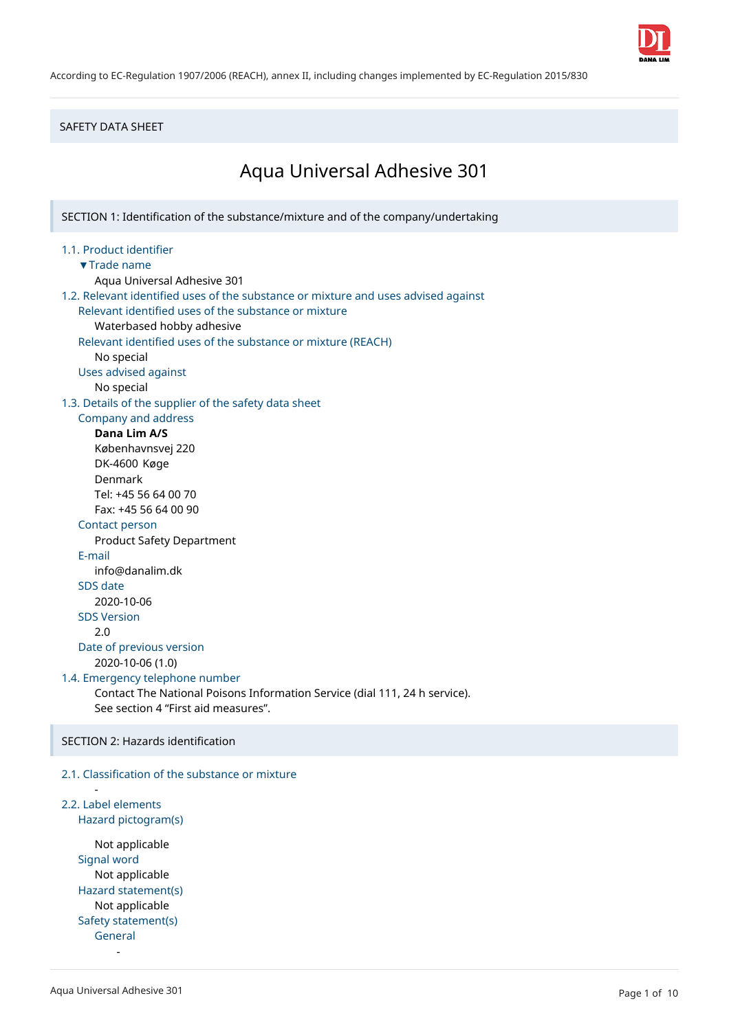

According to EC-Regulation 1907/2006 (REACH), annex II, including changes implemented by EC-Regulation 2015/830

## SAFETY DATA SHEET

# Aqua Universal Adhesive 301

SECTION 1: Identification of the substance/mixture and of the company/undertaking

#### 1.1. Product identifier ▼Trade name

Aqua Universal Adhesive 301

```
1.2. Relevant identified uses of the substance or mixture and uses advised against
   Relevant identified uses of the substance or mixture
      Waterbased hobby adhesive
   Relevant identified uses of the substance or mixture (REACH)
      No special
   Uses advised against
      No special
1.3. Details of the supplier of the safety data sheet
   Company and address
      Dana Lim A/S
      Københavnsvej 220
```
DK-4600 Køge Denmark

Tel: +45 56 64 00 70 Fax: +45 56 64 00 90

## Contact person

Product Safety Department

E-mail

info@danalim.dk

# SDS date

2020-10-06 SDS Version

2.0

#### Date of previous version 2020-10-06 (1.0)

1.4. Emergency telephone number

Contact The National Poisons Information Service (dial 111, 24 h service). See section 4 "First aid measures".

SECTION 2: Hazards identification

## 2.1. Classification of the substance or mixture

## 2.2. Label elements Hazard pictogram(s)

-

Not applicable Signal word Not applicable Hazard statement(s) Not applicable Safety statement(s) General

-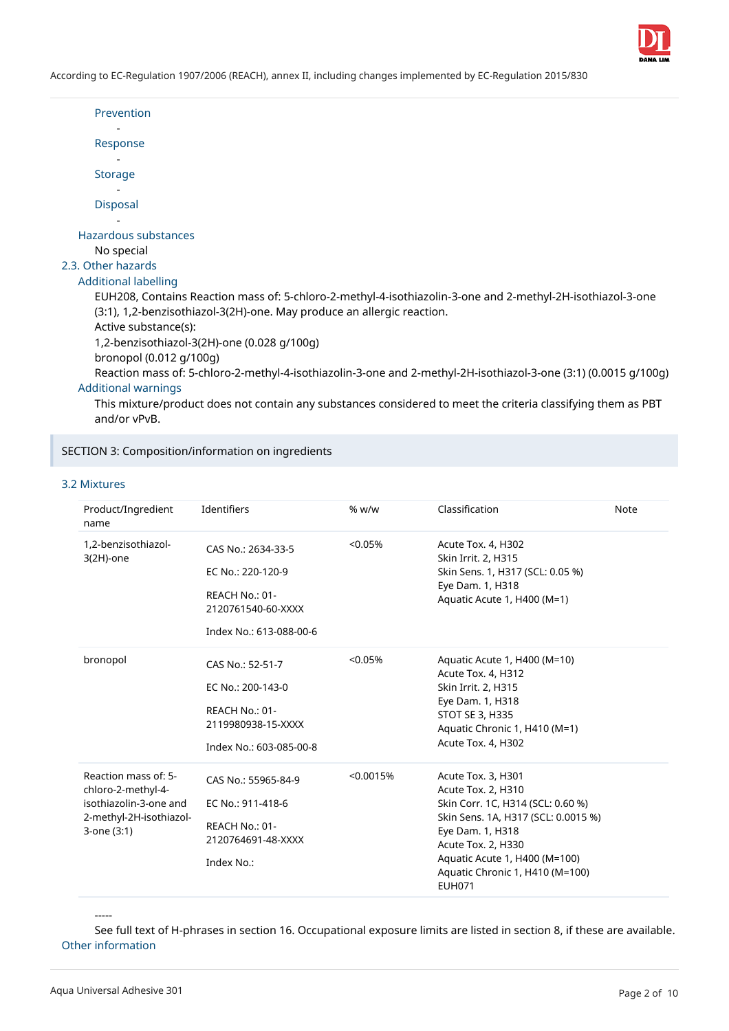

| Prevention                                                                                                                   |
|------------------------------------------------------------------------------------------------------------------------------|
| Response                                                                                                                     |
|                                                                                                                              |
| <b>Storage</b>                                                                                                               |
|                                                                                                                              |
| <b>Disposal</b>                                                                                                              |
|                                                                                                                              |
| Hazardous substances                                                                                                         |
| No special                                                                                                                   |
| 2.3. Other hazards                                                                                                           |
| Additional labelling                                                                                                         |
| EUH208, Contains Reaction mass of: 5-chloro-2-methyl-4-isothiazolin-3-one and 2-methyl-2H-isothiazol-3-one                   |
| (3:1), 1,2-benzisothiazol-3(2H)-one. May produce an allergic reaction.                                                       |
| Active substance(s):                                                                                                         |
| 1,2-benzisothiazol-3(2H)-one (0.028 g/100g)                                                                                  |
| bronopol (0.012 g/100g)                                                                                                      |
| Reaction mass of: 5-chloro-2-methyl-4-isothiazolin-3-one and 2-methyl-2H-isothiazol-3-one (3:1) (0.0015 g/100g)              |
| <b>Additional warnings</b>                                                                                                   |
| This mixture/product does not contain any substances considered to meet the criteria classifying them as PBT<br>and/or vPvB. |

SECTION 3: Composition/information on ingredients

### 3.2 Mixtures

| Product/Ingredient<br>name                                                                                     | Identifiers                                                                                                | % w/w     | Classification                                                                                                                                                                                                                                      | Note |
|----------------------------------------------------------------------------------------------------------------|------------------------------------------------------------------------------------------------------------|-----------|-----------------------------------------------------------------------------------------------------------------------------------------------------------------------------------------------------------------------------------------------------|------|
| 1,2-benzisothiazol-<br>$3(2H)$ -one                                                                            | CAS No.: 2634-33-5<br>EC No.: 220-120-9<br>REACH No.: 01-<br>2120761540-60-XXXX<br>Index No.: 613-088-00-6 | < 0.05%   | Acute Tox. 4, H302<br>Skin Irrit. 2, H315<br>Skin Sens. 1, H317 (SCL: 0.05 %)<br>Eye Dam. 1, H318<br>Aquatic Acute 1, H400 (M=1)                                                                                                                    |      |
| bronopol                                                                                                       | CAS No.: 52-51-7<br>EC No.: 200-143-0<br>REACH No.: 01-<br>2119980938-15-XXXX<br>Index No.: 603-085-00-8   | < 0.05%   | Aquatic Acute 1, H400 (M=10)<br>Acute Tox. 4, H312<br>Skin Irrit. 2, H315<br>Eye Dam. 1, H318<br><b>STOT SE 3, H335</b><br>Aquatic Chronic 1, H410 (M=1)<br>Acute Tox. 4, H302                                                                      |      |
| Reaction mass of: 5-<br>chloro-2-methyl-4-<br>isothiazolin-3-one and<br>2-methyl-2H-isothiazol-<br>3-one (3:1) | CAS No.: 55965-84-9<br>EC No.: 911-418-6<br>REACH No.: 01-<br>2120764691-48-XXXX<br>Index No.:             | < 0.0015% | Acute Tox. 3, H301<br>Acute Tox. 2, H310<br>Skin Corr. 1C, H314 (SCL: 0.60 %)<br>Skin Sens. 1A, H317 (SCL: 0.0015 %)<br>Eye Dam. 1, H318<br>Acute Tox. 2, H330<br>Aquatic Acute 1, H400 (M=100)<br>Aquatic Chronic 1, H410 (M=100)<br><b>EUH071</b> |      |

-----

See full text of H-phrases in section 16. Occupational exposure limits are listed in section 8, if these are available. Other information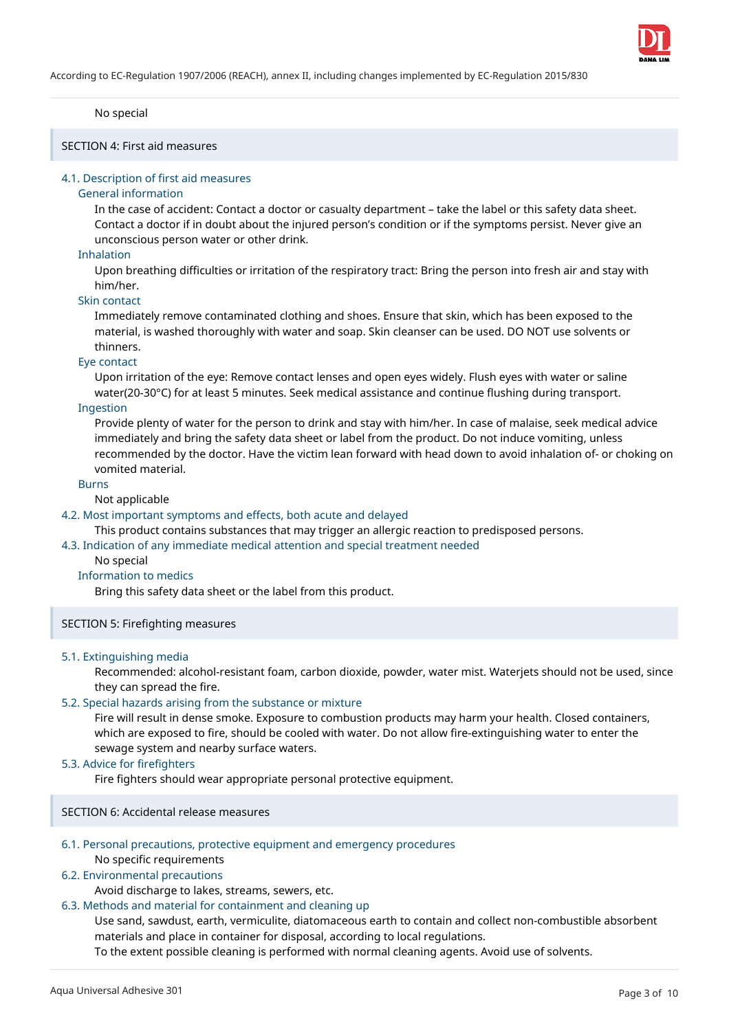### No special

SECTION 4: First aid measures

### 4.1. Description of first aid measures

### General information

In the case of accident: Contact a doctor or casualty department – take the label or this safety data sheet. Contact a doctor if in doubt about the injured person's condition or if the symptoms persist. Never give an unconscious person water or other drink.

### Inhalation

Upon breathing difficulties or irritation of the respiratory tract: Bring the person into fresh air and stay with him/her.

### Skin contact

Immediately remove contaminated clothing and shoes. Ensure that skin, which has been exposed to the material, is washed thoroughly with water and soap. Skin cleanser can be used. DO NOT use solvents or thinners.

### Eye contact

Upon irritation of the eye: Remove contact lenses and open eyes widely. Flush eyes with water or saline water(20-30°C) for at least 5 minutes. Seek medical assistance and continue flushing during transport.

#### Ingestion

Provide plenty of water for the person to drink and stay with him/her. In case of malaise, seek medical advice immediately and bring the safety data sheet or label from the product. Do not induce vomiting, unless recommended by the doctor. Have the victim lean forward with head down to avoid inhalation of- or choking on vomited material.

#### Burns

### Not applicable

### 4.2. Most important symptoms and effects, both acute and delayed

This product contains substances that may trigger an allergic reaction to predisposed persons.

4.3. Indication of any immediate medical attention and special treatment needed

#### No special

#### Information to medics

Bring this safety data sheet or the label from this product.

## SECTION 5: Firefighting measures

#### 5.1. Extinguishing media

Recommended: alcohol-resistant foam, carbon dioxide, powder, water mist. Waterjets should not be used, since they can spread the fire.

## 5.2. Special hazards arising from the substance or mixture

Fire will result in dense smoke. Exposure to combustion products may harm your health. Closed containers, which are exposed to fire, should be cooled with water. Do not allow fire-extinguishing water to enter the sewage system and nearby surface waters.

## 5.3. Advice for firefighters

Fire fighters should wear appropriate personal protective equipment.

SECTION 6: Accidental release measures

## 6.1. Personal precautions, protective equipment and emergency procedures

## No specific requirements

## 6.2. Environmental precautions

Avoid discharge to lakes, streams, sewers, etc.

## 6.3. Methods and material for containment and cleaning up

Use sand, sawdust, earth, vermiculite, diatomaceous earth to contain and collect non-combustible absorbent materials and place in container for disposal, according to local regulations.

To the extent possible cleaning is performed with normal cleaning agents. Avoid use of solvents.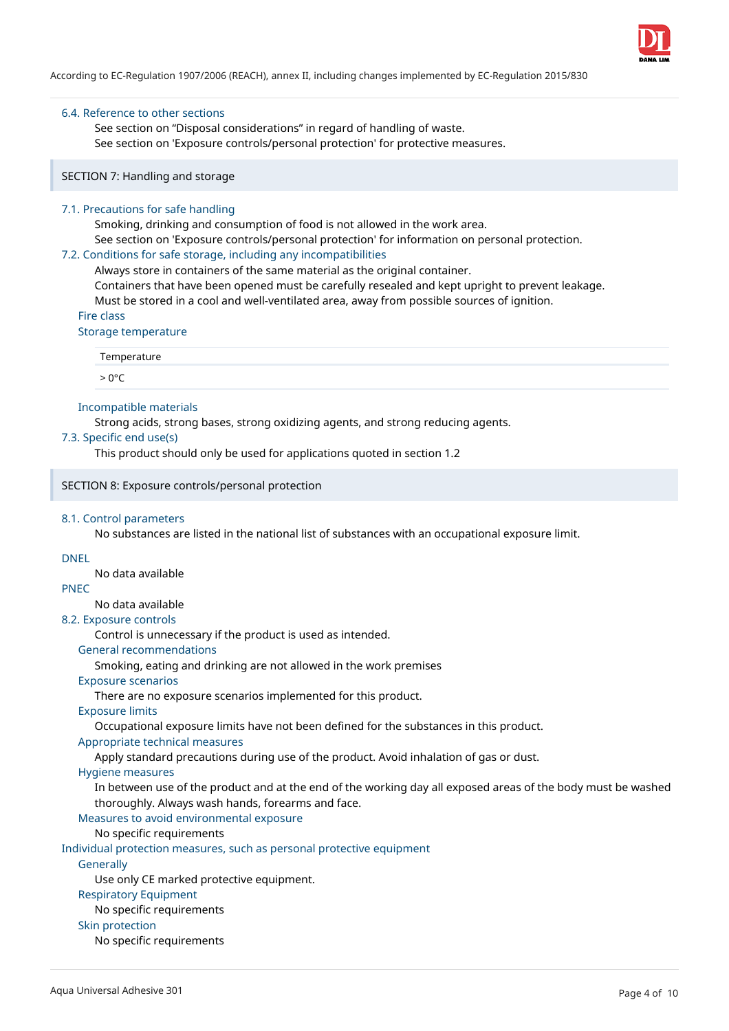

### 6.4. Reference to other sections

See section on "Disposal considerations" in regard of handling of waste. See section on 'Exposure controls/personal protection' for protective measures.

### SECTION 7: Handling and storage

### 7.1. Precautions for safe handling

Smoking, drinking and consumption of food is not allowed in the work area. See section on 'Exposure controls/personal protection' for information on personal protection.

### 7.2. Conditions for safe storage, including any incompatibilities

Always store in containers of the same material as the original container. Containers that have been opened must be carefully resealed and kept upright to prevent leakage.

Must be stored in a cool and well-ventilated area, away from possible sources of ignition.

Fire class

#### Storage temperature

Temperature

 $> 0^{\circ}C$ 

#### Incompatible materials

Strong acids, strong bases, strong oxidizing agents, and strong reducing agents.

#### 7.3. Specific end use(s)

This product should only be used for applications quoted in section 1.2

#### SECTION 8: Exposure controls/personal protection

#### 8.1. Control parameters

No substances are listed in the national list of substances with an occupational exposure limit.

## DNEL

No data available

## PNEC

No data available

## 8.2. Exposure controls

Control is unnecessary if the product is used as intended.

## General recommendations

Smoking, eating and drinking are not allowed in the work premises

## Exposure scenarios

There are no exposure scenarios implemented for this product.

## Exposure limits

Occupational exposure limits have not been defined for the substances in this product.

## Appropriate technical measures

Apply standard precautions during use of the product. Avoid inhalation of gas or dust.

## Hygiene measures

In between use of the product and at the end of the working day all exposed areas of the body must be washed thoroughly. Always wash hands, forearms and face.

## Measures to avoid environmental exposure

No specific requirements

Individual protection measures, such as personal protective equipment

## **Generally**

Use only CE marked protective equipment.

## Respiratory Equipment

No specific requirements

## Skin protection

No specific requirements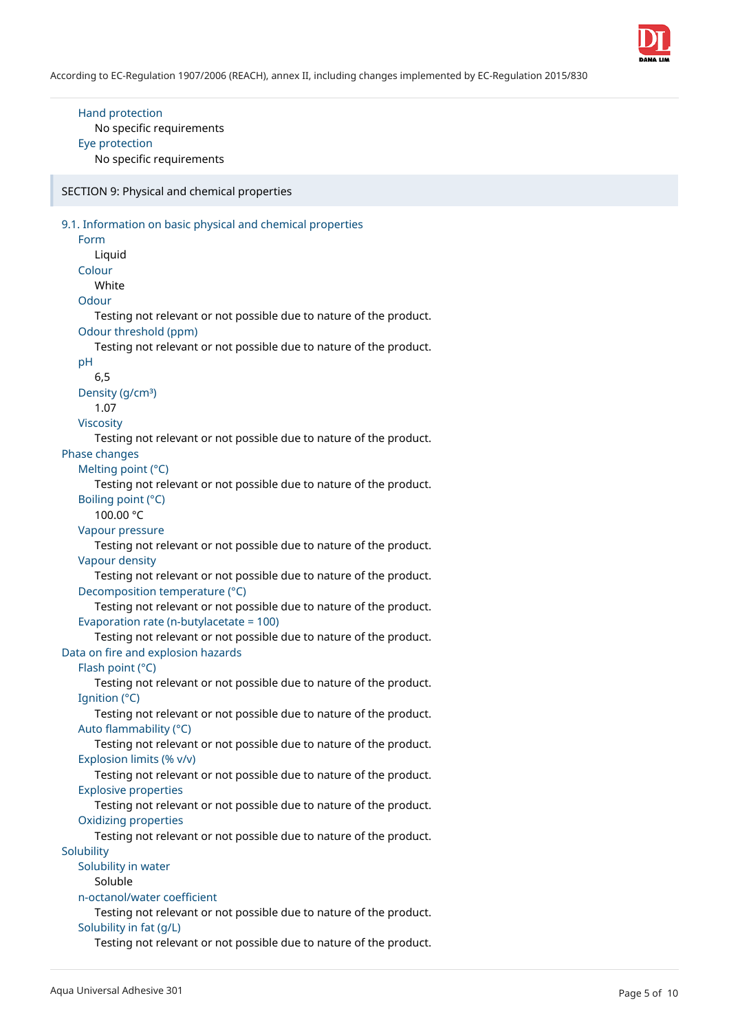

## Hand protection No specific requirements Eye protection No specific requirements

SECTION 9: Physical and chemical properties

| 9.1. Information on basic physical and chemical properties         |
|--------------------------------------------------------------------|
| Form                                                               |
| Liquid                                                             |
| Colour                                                             |
| White                                                              |
| Odour                                                              |
| Testing not relevant or not possible due to nature of the product. |
| Odour threshold (ppm)                                              |
| Testing not relevant or not possible due to nature of the product. |
| pH                                                                 |
| 6,5                                                                |
| Density (g/cm <sup>3</sup> )                                       |
| 1.07                                                               |
| <b>Viscosity</b>                                                   |
| Testing not relevant or not possible due to nature of the product. |
| Phase changes                                                      |
| Melting point (°C)                                                 |
| Testing not relevant or not possible due to nature of the product. |
| Boiling point (°C)                                                 |
| 100.00 °C                                                          |
| Vapour pressure                                                    |
| Testing not relevant or not possible due to nature of the product. |
| Vapour density                                                     |
| Testing not relevant or not possible due to nature of the product. |
| Decomposition temperature (°C)                                     |
| Testing not relevant or not possible due to nature of the product. |
| Evaporation rate (n-butylacetate = 100)                            |
| Testing not relevant or not possible due to nature of the product. |
| Data on fire and explosion hazards                                 |
| Flash point (°C)                                                   |
| Testing not relevant or not possible due to nature of the product. |
| Ignition (°C)                                                      |
| Testing not relevant or not possible due to nature of the product. |
| Auto flammability (°C)                                             |
| Testing not relevant or not possible due to nature of the product. |
| Explosion limits (% v/v)                                           |
| Testing not relevant or not possible due to nature of the product. |
| <b>Explosive properties</b>                                        |
| Testing not relevant or not possible due to nature of the product. |
| <b>Oxidizing properties</b>                                        |
| Testing not relevant or not possible due to nature of the product. |
| Solubility                                                         |
| Solubility in water                                                |
| Soluble                                                            |
| n-octanol/water coefficient                                        |
| Testing not relevant or not possible due to nature of the product. |
| Solubility in fat (g/L)                                            |
| Testing not relevant or not possible due to nature of the product. |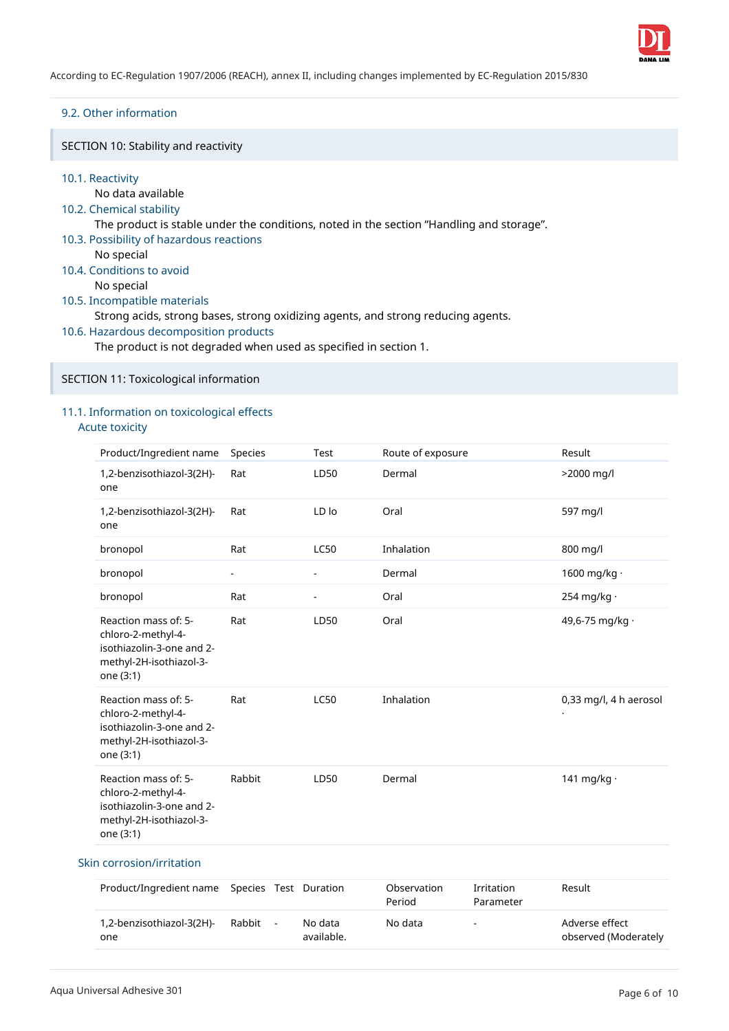

## 9.2. Other information

SECTION 10: Stability and reactivity

## 10.1. Reactivity

## No data available

## 10.2. Chemical stability

The product is stable under the conditions, noted in the section "Handling and storage".

10.3. Possibility of hazardous reactions

No special

10.4. Conditions to avoid No special

## 10.5. Incompatible materials

Strong acids, strong bases, strong oxidizing agents, and strong reducing agents.

10.6. Hazardous decomposition products

The product is not degraded when used as specified in section 1.

SECTION 11: Toxicological information

## 11.1. Information on toxicological effects

Acute toxicity

| Product/Ingredient name                                                                                         | Species                  | Test                     | Route of exposure | Result                 |
|-----------------------------------------------------------------------------------------------------------------|--------------------------|--------------------------|-------------------|------------------------|
| 1,2-benzisothiazol-3(2H)-<br>one                                                                                | Rat                      | LD50                     | Dermal            | >2000 mg/l             |
| 1,2-benzisothiazol-3(2H)-<br>one                                                                                | Rat                      | LD lo                    | Oral              | 597 mg/l               |
| bronopol                                                                                                        | Rat                      | <b>LC50</b>              | Inhalation        | 800 mg/l               |
| bronopol                                                                                                        | $\overline{\phantom{a}}$ | $\overline{\phantom{a}}$ | Dermal            | 1600 mg/kg $\cdot$     |
| bronopol                                                                                                        | Rat                      | $\overline{\phantom{a}}$ | Oral              | 254 mg/kg $\cdot$      |
| Reaction mass of: 5-<br>chloro-2-methyl-4-<br>isothiazolin-3-one and 2-<br>methyl-2H-isothiazol-3-<br>one (3:1) | Rat                      | LD50                     | Oral              | 49,6-75 mg/kg ·        |
| Reaction mass of: 5-<br>chloro-2-methyl-4-<br>isothiazolin-3-one and 2-<br>methyl-2H-isothiazol-3-<br>one (3:1) | Rat                      | <b>LC50</b>              | Inhalation        | 0,33 mg/l, 4 h aerosol |
| Reaction mass of: 5-<br>chloro-2-methyl-4-<br>isothiazolin-3-one and 2-<br>methyl-2H-isothiazol-3-<br>one (3:1) | Rabbit                   | LD50                     | Dermal            | 141 mg/kg ·            |

## Skin corrosion/irritation

| Product/Ingredient name Species Test Duration |        |                       | Observation<br>Period | Irritation<br>Parameter | Result                                 |
|-----------------------------------------------|--------|-----------------------|-----------------------|-------------------------|----------------------------------------|
| 1,2-benzisothiazol-3(2H)-<br>one              | Rabbit | No data<br>available. | No data               | $\sim$                  | Adverse effect<br>observed (Moderately |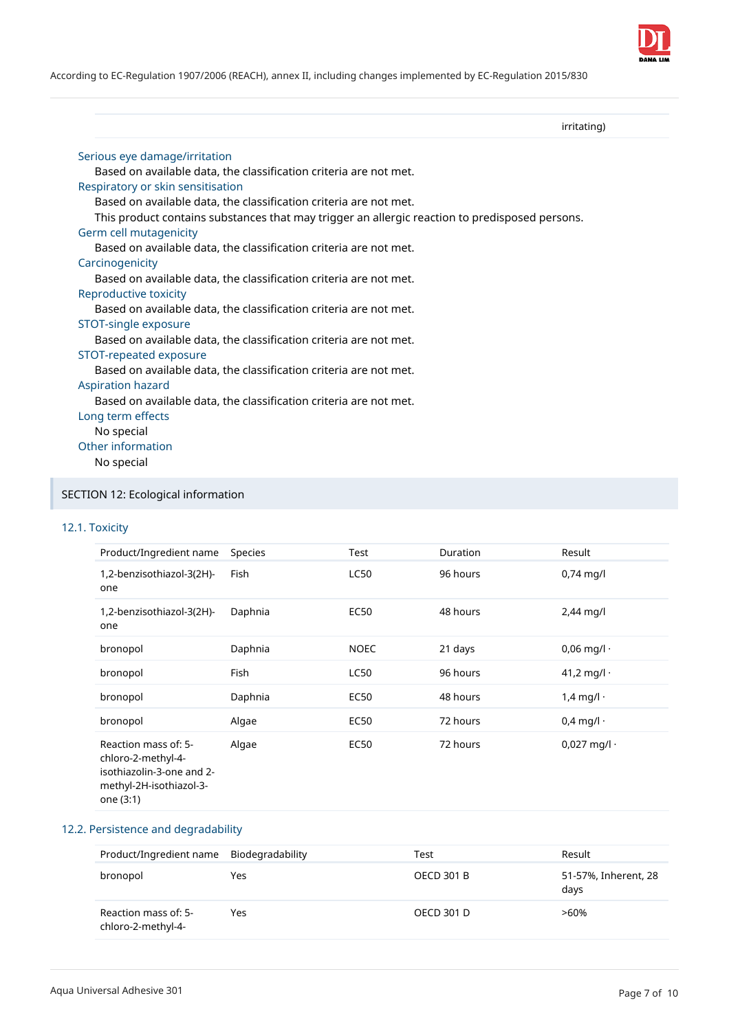

According to EC-Regulation 1907/2006 (REACH), annex II, including changes implemented by EC-Regulation 2015/830

### irritating)

| Serious eye damage/irritation                                                                  |
|------------------------------------------------------------------------------------------------|
| Based on available data, the classification criteria are not met.                              |
| Respiratory or skin sensitisation                                                              |
| Based on available data, the classification criteria are not met.                              |
| This product contains substances that may trigger an allergic reaction to predisposed persons. |
| Germ cell mutagenicity                                                                         |
| Based on available data, the classification criteria are not met.                              |
| Carcinogenicity                                                                                |
| Based on available data, the classification criteria are not met.                              |
| Reproductive toxicity                                                                          |
| Based on available data, the classification criteria are not met.                              |
| STOT-single exposure                                                                           |
| Based on available data, the classification criteria are not met.                              |
| STOT-repeated exposure                                                                         |
| Based on available data, the classification criteria are not met.                              |
| <b>Aspiration hazard</b>                                                                       |
| Based on available data, the classification criteria are not met.                              |
| Long term effects                                                                              |
| No special                                                                                     |
| Other information                                                                              |
| No special                                                                                     |
|                                                                                                |
|                                                                                                |

# SECTION 12: Ecological information

## 12.1. Toxicity

| Product/Ingredient name                                                                                         | <b>Species</b> | Test        | Duration | Result               |
|-----------------------------------------------------------------------------------------------------------------|----------------|-------------|----------|----------------------|
| 1,2-benzisothiazol-3(2H)-<br>one                                                                                | Fish           | <b>LC50</b> | 96 hours | $0,74$ mg/l          |
| 1,2-benzisothiazol-3(2H)-<br>one                                                                                | Daphnia        | <b>EC50</b> | 48 hours | $2,44$ mg/l          |
| bronopol                                                                                                        | Daphnia        | <b>NOEC</b> | 21 days  | $0,06$ mg/l $\cdot$  |
| bronopol                                                                                                        | <b>Fish</b>    | <b>LC50</b> | 96 hours | 41,2 mg/l $\cdot$    |
| bronopol                                                                                                        | Daphnia        | <b>EC50</b> | 48 hours | $1,4$ mg/l $\cdot$   |
| bronopol                                                                                                        | Algae          | <b>EC50</b> | 72 hours | $0,4$ mg/l $\cdot$   |
| Reaction mass of: 5-<br>chloro-2-methyl-4-<br>isothiazolin-3-one and 2-<br>methyl-2H-isothiazol-3-<br>one (3:1) | Algae          | <b>EC50</b> | 72 hours | $0,027$ mg/l $\cdot$ |

## 12.2. Persistence and degradability

| Product/Ingredient name Biodegradability   |     | Test              | Result                       |
|--------------------------------------------|-----|-------------------|------------------------------|
| bronopol                                   | Yes | <b>OECD 301 B</b> | 51-57%, Inherent, 28<br>days |
| Reaction mass of: 5-<br>chloro-2-methyl-4- | Yes | <b>OECD 301 D</b> | $>60\%$                      |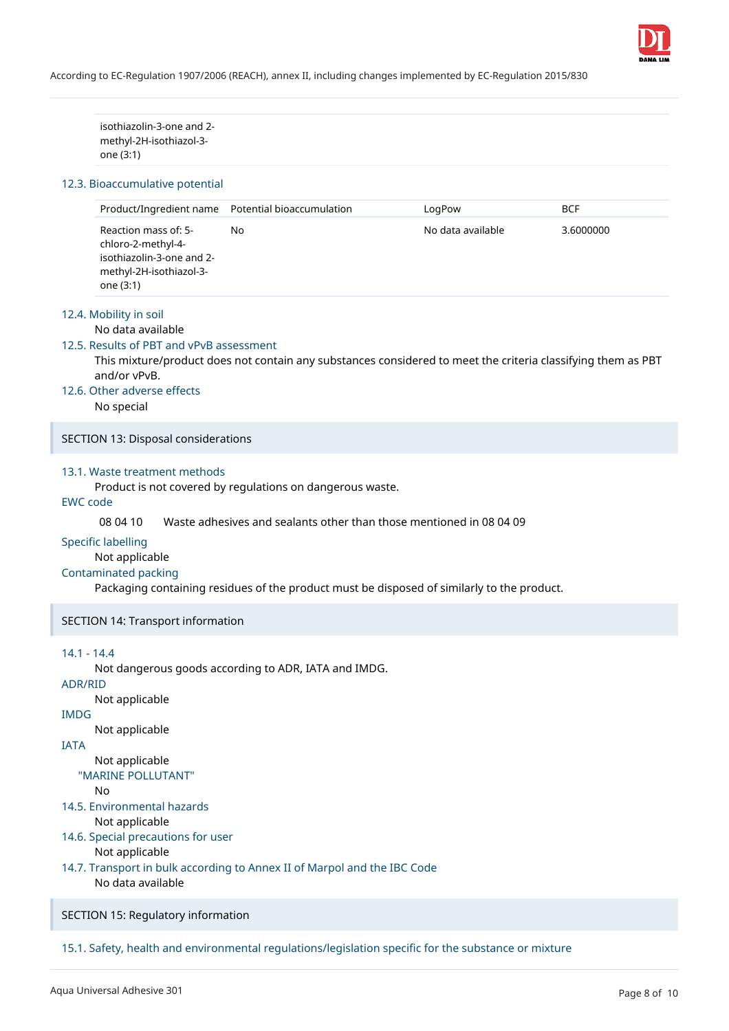

isothiazolin-3-one and 2 methyl-2H-isothiazol-3 one (3:1)

### 12.3. Bioaccumulative potential

|                                                                                                                 | Product/Ingredient name Potential bioaccumulation | LoaPow            | <b>BCF</b> |
|-----------------------------------------------------------------------------------------------------------------|---------------------------------------------------|-------------------|------------|
| Reaction mass of: 5-<br>chloro-2-methyl-4-<br>isothiazolin-3-one and 2-<br>methyl-2H-isothiazol-3-<br>one (3:1) | No.                                               | No data available | 3.6000000  |

## 12.4. Mobility in soil

#### No data available

#### 12.5. Results of PBT and vPvB assessment

This mixture/product does not contain any substances considered to meet the criteria classifying them as PBT and/or vPvB.

## 12.6. Other adverse effects

No special

SECTION 13: Disposal considerations

## 13.1. Waste treatment methods

Product is not covered by regulations on dangerous waste.

## EWC code

08 04 10 Waste adhesives and sealants other than those mentioned in 08 04 09

#### Specific labelling

Not applicable

## Contaminated packing

Packaging containing residues of the product must be disposed of similarly to the product.

SECTION 14: Transport information

## 14.1 - 14.4

Not dangerous goods according to ADR, IATA and IMDG.

## ADR/RID

Not applicable

## IMDG

Not applicable

## IATA

Not applicable

# "MARINE POLLUTANT"

 $N<sub>0</sub>$ 

14.5. Environmental hazards

Not applicable

## 14.6. Special precautions for user

Not applicable

14.7. Transport in bulk according to Annex II of Marpol and the IBC Code No data available

SECTION 15: Regulatory information

15.1. Safety, health and environmental regulations/legislation specific for the substance or mixture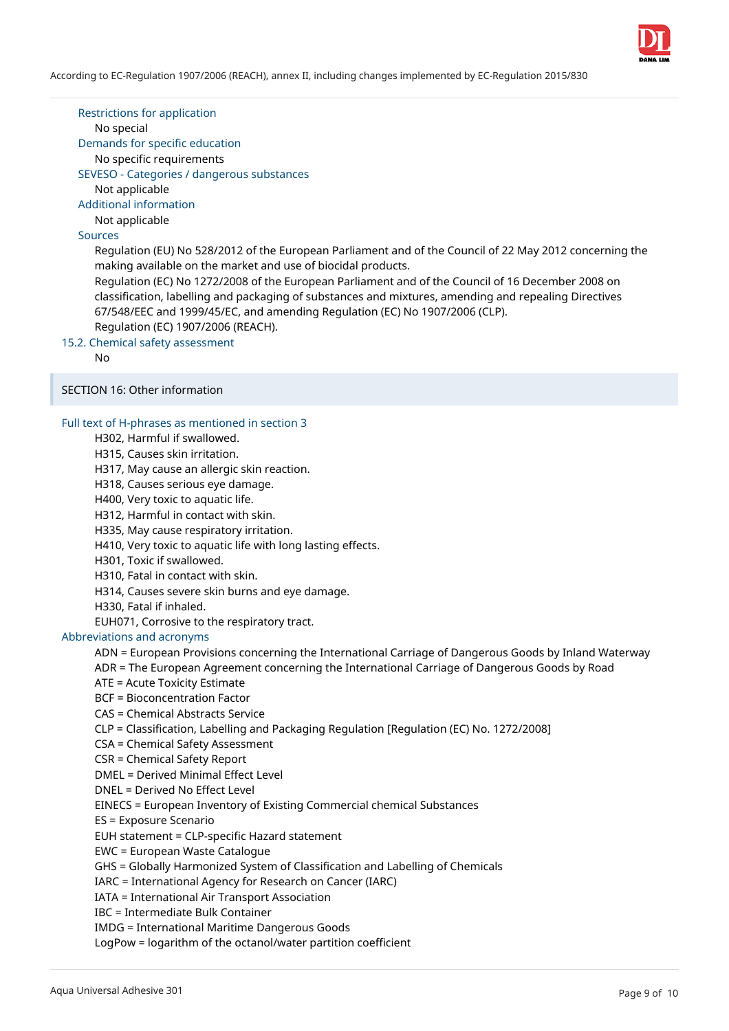

Restrictions for application

No special

Demands for specific education

No specific requirements

SEVESO - Categories / dangerous substances

Not applicable

Additional information

Not applicable

Sources

Regulation (EU) No 528/2012 of the European Parliament and of the Council of 22 May 2012 concerning the making available on the market and use of biocidal products.

Regulation (EC) No 1272/2008 of the European Parliament and of the Council of 16 December 2008 on classification, labelling and packaging of substances and mixtures, amending and repealing Directives 67/548/EEC and 1999/45/EC, and amending Regulation (EC) No 1907/2006 (CLP). Regulation (EC) 1907/2006 (REACH).

15.2. Chemical safety assessment

No

SECTION 16: Other information

## Full text of H-phrases as mentioned in section 3

H302, Harmful if swallowed.

H315, Causes skin irritation.

H317, May cause an allergic skin reaction.

H318, Causes serious eye damage.

H400, Very toxic to aquatic life.

H312, Harmful in contact with skin.

H335, May cause respiratory irritation.

H410, Very toxic to aquatic life with long lasting effects.

H301, Toxic if swallowed.

H310, Fatal in contact with skin.

H314, Causes severe skin burns and eye damage.

H330, Fatal if inhaled.

EUH071, Corrosive to the respiratory tract.

## Abbreviations and acronyms

ADN = European Provisions concerning the International Carriage of Dangerous Goods by Inland Waterway

ADR = The European Agreement concerning the International Carriage of Dangerous Goods by Road

ATE = Acute Toxicity Estimate

BCF = Bioconcentration Factor

CAS = Chemical Abstracts Service

CLP = Classification, Labelling and Packaging Regulation [Regulation (EC) No. 1272/2008]

CSA = Chemical Safety Assessment

CSR = Chemical Safety Report

DMEL = Derived Minimal Effect Level

DNEL = Derived No Effect Level

EINECS = European Inventory of Existing Commercial chemical Substances

ES = Exposure Scenario

EUH statement = CLP-specific Hazard statement

EWC = European Waste Catalogue

GHS = Globally Harmonized System of Classification and Labelling of Chemicals

IARC = International Agency for Research on Cancer (IARC)

IATA = International Air Transport Association

IBC = Intermediate Bulk Container

IMDG = International Maritime Dangerous Goods

LogPow = logarithm of the octanol/water partition coefficient